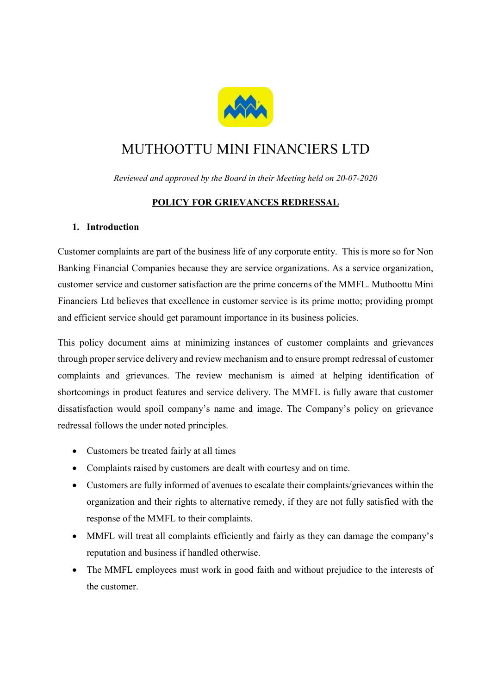

# MUTHOOTTU MINI FINANCIERS LTD

Reviewed and approved by the Board in their Meeting held on 20-07-2020

# POLICY FOR GRIEVANCES REDRESSAL

## 1. Introduction

Customer complaints are part of the business life of any corporate entity. This is more so for Non Banking Financial Companies because they are service organizations. As a service organization, customer service and customer satisfaction are the prime concerns of the MMFL. Muthoottu Mini Financiers Ltd believes that excellence in customer service is its prime motto; providing prompt and efficient service should get paramount importance in its business policies.

This policy document aims at minimizing instances of customer complaints and grievances through proper service delivery and review mechanism and to ensure prompt redressal of customer complaints and grievances. The review mechanism is aimed at helping identification of shortcomings in product features and service delivery. The MMFL is fully aware that customer dissatisfaction would spoil company's name and image. The Company's policy on grievance redressal follows the under noted principles.

- Customers be treated fairly at all times
- Complaints raised by customers are dealt with courtesy and on time.
- Customers are fully informed of avenues to escalate their complaints/grievances within the organization and their rights to alternative remedy, if they are not fully satisfied with the response of the MMFL to their complaints.
- MMFL will treat all complaints efficiently and fairly as they can damage the company's reputation and business if handled otherwise.
- The MMFL employees must work in good faith and without prejudice to the interests of the customer.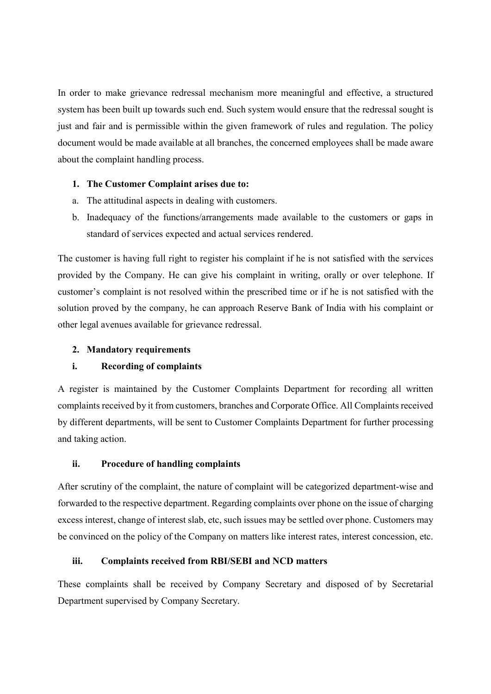In order to make grievance redressal mechanism more meaningful and effective, a structured system has been built up towards such end. Such system would ensure that the redressal sought is just and fair and is permissible within the given framework of rules and regulation. The policy document would be made available at all branches, the concerned employees shall be made aware about the complaint handling process.

## 1. The Customer Complaint arises due to:

- a. The attitudinal aspects in dealing with customers.
- b. Inadequacy of the functions/arrangements made available to the customers or gaps in standard of services expected and actual services rendered.

The customer is having full right to register his complaint if he is not satisfied with the services provided by the Company. He can give his complaint in writing, orally or over telephone. If customer's complaint is not resolved within the prescribed time or if he is not satisfied with the solution proved by the company, he can approach Reserve Bank of India with his complaint or other legal avenues available for grievance redressal.

# 2. Mandatory requirements

# i. Recording of complaints

A register is maintained by the Customer Complaints Department for recording all written complaints received by it from customers, branches and Corporate Office. All Complaints received by different departments, will be sent to Customer Complaints Department for further processing and taking action.

#### ii. Procedure of handling complaints

After scrutiny of the complaint, the nature of complaint will be categorized department-wise and forwarded to the respective department. Regarding complaints over phone on the issue of charging excess interest, change of interest slab, etc, such issues may be settled over phone. Customers may be convinced on the policy of the Company on matters like interest rates, interest concession, etc.

#### iii. Complaints received from RBI/SEBI and NCD matters

These complaints shall be received by Company Secretary and disposed of by Secretarial Department supervised by Company Secretary.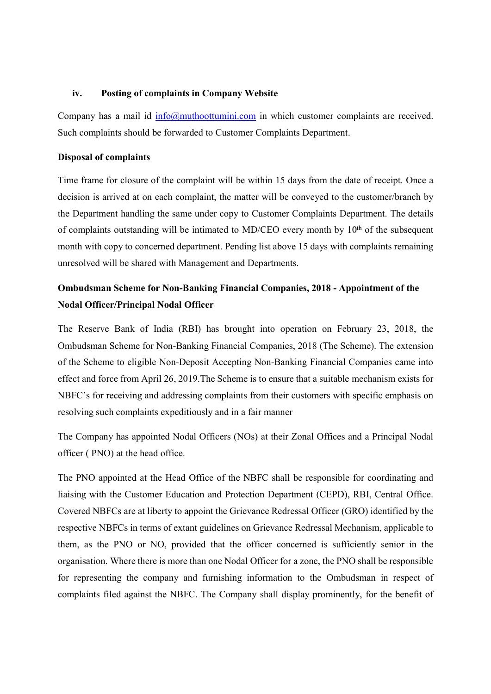#### iv. Posting of complaints in Company Website

Company has a mail id  $\frac{info(@muthoottumini.com)}{info(@muthoottumini.com)}$  in which customer complaints are received. Such complaints should be forwarded to Customer Complaints Department.

#### Disposal of complaints

Time frame for closure of the complaint will be within 15 days from the date of receipt. Once a decision is arrived at on each complaint, the matter will be conveyed to the customer/branch by the Department handling the same under copy to Customer Complaints Department. The details of complaints outstanding will be intimated to MD/CEO every month by  $10<sup>th</sup>$  of the subsequent month with copy to concerned department. Pending list above 15 days with complaints remaining unresolved will be shared with Management and Departments.

# Ombudsman Scheme for Non-Banking Financial Companies, 2018 - Appointment of the Nodal Officer/Principal Nodal Officer

The Reserve Bank of India (RBI) has brought into operation on February 23, 2018, the Ombudsman Scheme for Non-Banking Financial Companies, 2018 (The Scheme). The extension of the Scheme to eligible Non-Deposit Accepting Non-Banking Financial Companies came into effect and force from April 26, 2019.The Scheme is to ensure that a suitable mechanism exists for NBFC's for receiving and addressing complaints from their customers with specific emphasis on resolving such complaints expeditiously and in a fair manner

The Company has appointed Nodal Officers (NOs) at their Zonal Offices and a Principal Nodal officer ( PNO) at the head office.

The PNO appointed at the Head Office of the NBFC shall be responsible for coordinating and liaising with the Customer Education and Protection Department (CEPD), RBI, Central Office. Covered NBFCs are at liberty to appoint the Grievance Redressal Officer (GRO) identified by the respective NBFCs in terms of extant guidelines on Grievance Redressal Mechanism, applicable to them, as the PNO or NO, provided that the officer concerned is sufficiently senior in the organisation. Where there is more than one Nodal Officer for a zone, the PNO shall be responsible for representing the company and furnishing information to the Ombudsman in respect of complaints filed against the NBFC. The Company shall display prominently, for the benefit of